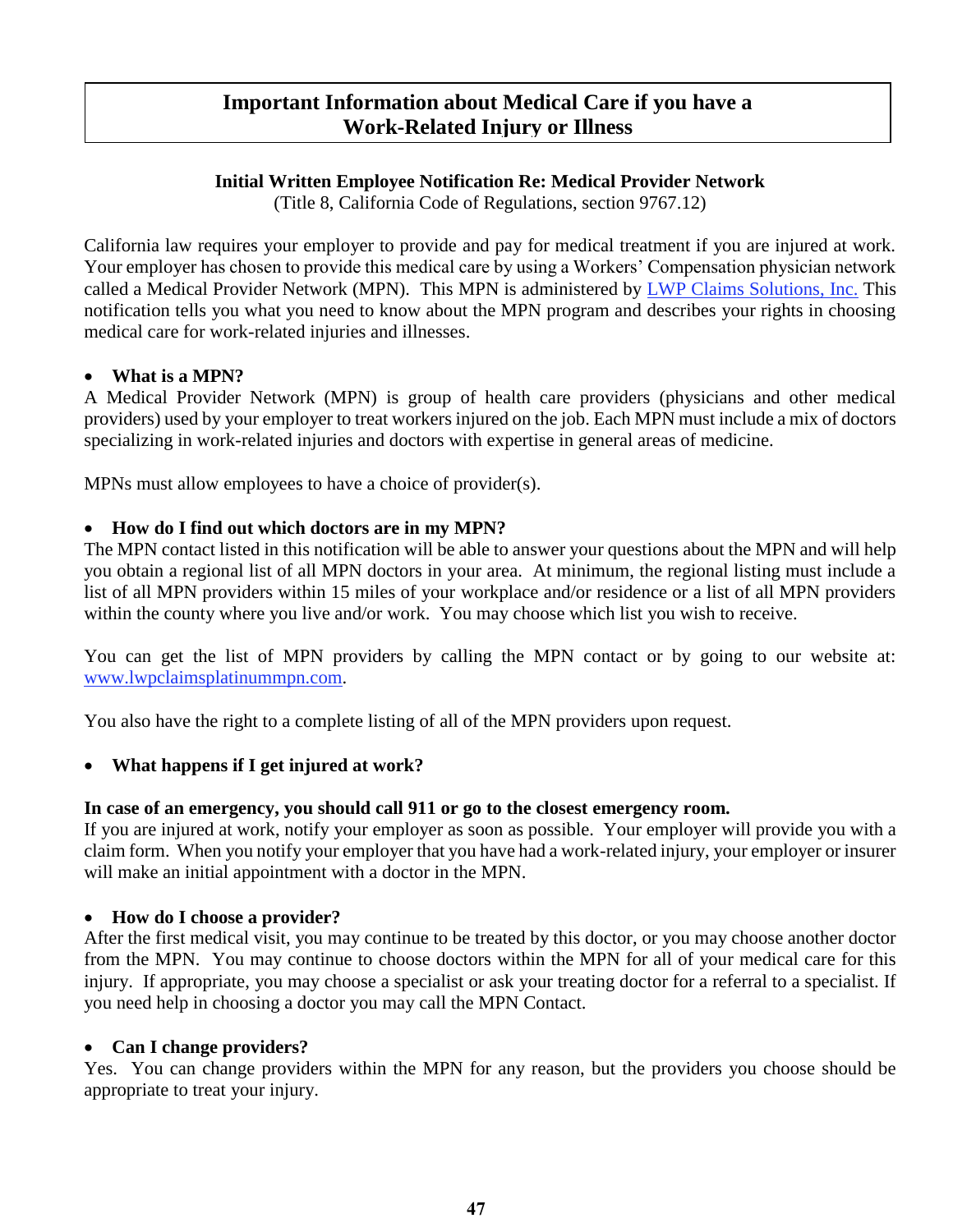# **Important Information about Medical Care if you have a Work-Related Injury or Illness**

# **Initial Written Employee Notification Re: Medical Provider Network**

(Title 8, California Code of Regulations, section 9767.12)

California law requires your employer to provide and pay for medical treatment if you are injured at work. Your employer has chosen to provide this medical care by using a Workers' Compensation physician network called a Medical Provider Network (MPN). This MPN is administered by LWP Claims Solutions, Inc. This notification tells you what you need to know about the MPN program and describes your rights in choosing medical care for work-related injuries and illnesses.

## **What is a MPN?**

A Medical Provider Network (MPN) is group of health care providers (physicians and other medical providers) used by your employer to treat workers injured on the job. Each MPN must include a mix of doctors specializing in work-related injuries and doctors with expertise in general areas of medicine.

MPNs must allow employees to have a choice of provider(s).

# **How do I find out which doctors are in my MPN?**

The MPN contact listed in this notification will be able to answer your questions about the MPN and will help you obtain a regional list of all MPN doctors in your area. At minimum, the regional listing must include a list of all MPN providers within 15 miles of your workplace and/or residence or a list of all MPN providers within the county where you live and/or work. You may choose which list you wish to receive.

You can get the list of MPN providers by calling the MPN contact or by going to our website at: www.lwpclaimsplatinummpn.com.

You also have the right to a complete listing of all of the MPN providers upon request.

# **What happens if I get injured at work?**

### **In case of an emergency, you should call 911 or go to the closest emergency room.**

If you are injured at work, notify your employer as soon as possible. Your employer will provide you with a claim form. When you notify your employer that you have had a work-related injury, your employer or insurer will make an initial appointment with a doctor in the MPN.

### **How do I choose a provider?**

After the first medical visit, you may continue to be treated by this doctor, or you may choose another doctor from the MPN. You may continue to choose doctors within the MPN for all of your medical care for this injury. If appropriate, you may choose a specialist or ask your treating doctor for a referral to a specialist. If you need help in choosing a doctor you may call the MPN Contact.

### **Can I change providers?**

Yes. You can change providers within the MPN for any reason, but the providers you choose should be appropriate to treat your injury.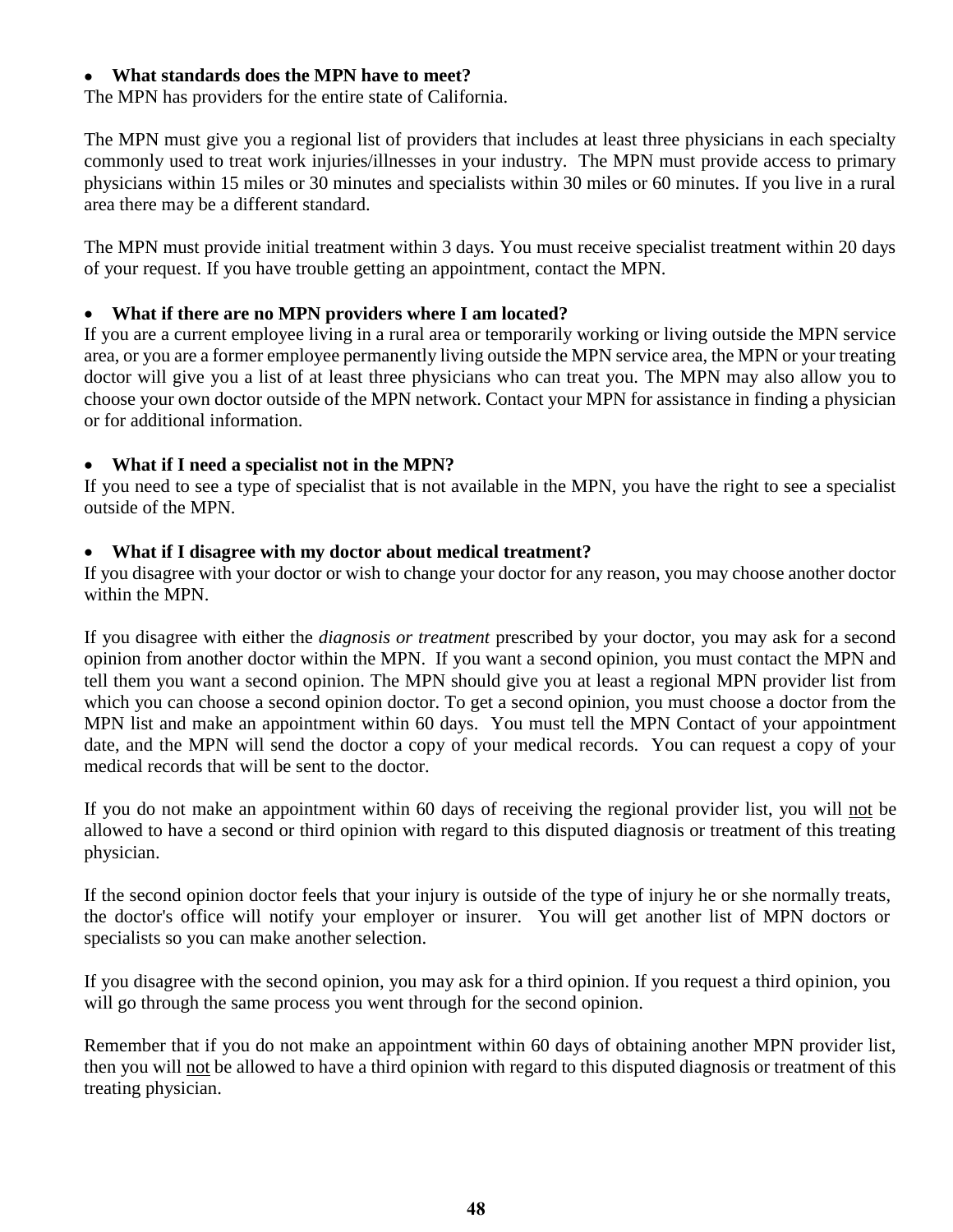#### **What standards does the MPN have to meet?**

The MPN has providers for the entire state of California.

The MPN must give you a regional list of providers that includes at least three physicians in each specialty commonly used to treat work injuries/illnesses in your industry. The MPN must provide access to primary physicians within 15 miles or 30 minutes and specialists within 30 miles or 60 minutes. If you live in a rural area there may be a different standard.

The MPN must provide initial treatment within 3 days. You must receive specialist treatment within 20 days of your request. If you have trouble getting an appointment, contact the MPN.

#### **What if there are no MPN providers where I am located?**

If you are a current employee living in a rural area or temporarily working or living outside the MPN service area, or you are a former employee permanently living outside the MPN service area, the MPN or your treating doctor will give you a list of at least three physicians who can treat you. The MPN may also allow you to choose your own doctor outside of the MPN network. Contact your MPN for assistance in finding a physician or for additional information.

#### **What if I need a specialist not in the MPN?**

If you need to see a type of specialist that is not available in the MPN, you have the right to see a specialist outside of the MPN.

#### **What if I disagree with my doctor about medical treatment?**

If you disagree with your doctor or wish to change your doctor for any reason, you may choose another doctor within the MPN.

If you disagree with either the *diagnosis or treatment* prescribed by your doctor, you may ask for a second opinion from another doctor within the MPN. If you want a second opinion, you must contact the MPN and tell them you want a second opinion. The MPN should give you at least a regional MPN provider list from which you can choose a second opinion doctor. To get a second opinion, you must choose a doctor from the MPN list and make an appointment within 60 days. You must tell the MPN Contact of your appointment date, and the MPN will send the doctor a copy of your medical records. You can request a copy of your medical records that will be sent to the doctor.

If you do not make an appointment within 60 days of receiving the regional provider list, you will not be allowed to have a second or third opinion with regard to this disputed diagnosis or treatment of this treating physician.

If the second opinion doctor feels that your injury is outside of the type of injury he or she normally treats, the doctor's office will notify your employer or insurer. You will get another list of MPN doctors or specialists so you can make another selection.

If you disagree with the second opinion, you may ask for a third opinion. If you request a third opinion, you will go through the same process you went through for the second opinion.

Remember that if you do not make an appointment within 60 days of obtaining another MPN provider list, then you will not be allowed to have a third opinion with regard to this disputed diagnosis or treatment of this treating physician.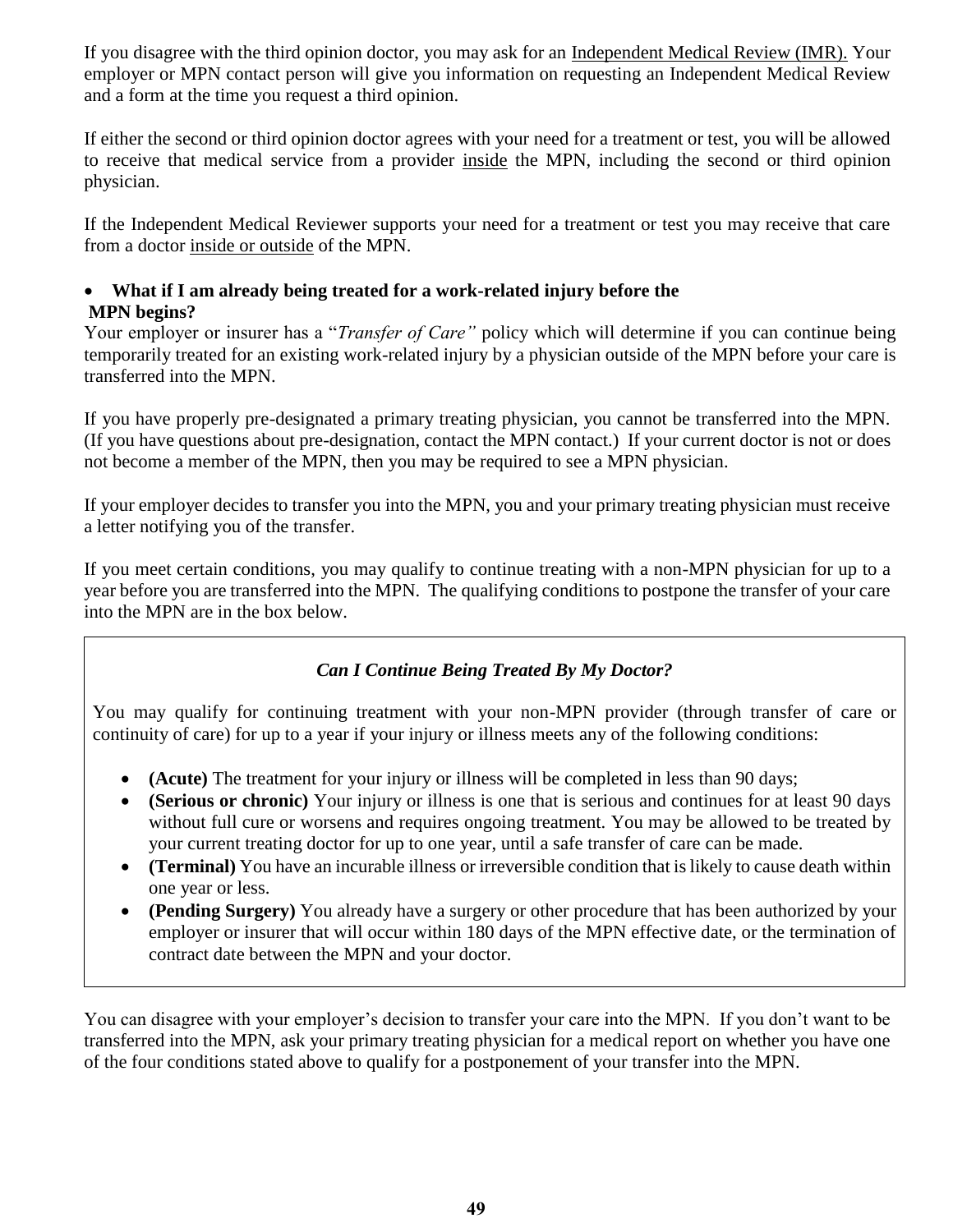If you disagree with the third opinion doctor, you may ask for an Independent Medical Review (IMR). Your employer or MPN contact person will give you information on requesting an Independent Medical Review and a form at the time you request a third opinion.

If either the second or third opinion doctor agrees with your need for a treatment or test, you will be allowed to receive that medical service from a provider inside the MPN, including the second or third opinion physician.

If the Independent Medical Reviewer supports your need for a treatment or test you may receive that care from a doctor inside or outside of the MPN.

# **What if I am already being treated for a work-related injury before the MPN begins?**

Your employer or insurer has a "*Transfer of Care"* policy which will determine if you can continue being temporarily treated for an existing work-related injury by a physician outside of the MPN before your care is transferred into the MPN.

If you have properly pre-designated a primary treating physician, you cannot be transferred into the MPN. (If you have questions about pre-designation, contact the MPN contact.) If your current doctor is not or does not become a member of the MPN, then you may be required to see a MPN physician.

If your employer decides to transfer you into the MPN, you and your primary treating physician must receive a letter notifying you of the transfer.

If you meet certain conditions, you may qualify to continue treating with a non-MPN physician for up to a year before you are transferred into the MPN. The qualifying conditions to postpone the transfer of your care into the MPN are in the box below.

# *Can I Continue Being Treated By My Doctor?*

You may qualify for continuing treatment with your non-MPN provider (through transfer of care or continuity of care) for up to a year if your injury or illness meets any of the following conditions:

- **(Acute)** The treatment for your injury or illness will be completed in less than 90 days;
- **(Serious or chronic)** Your injury or illness is one that is serious and continues for at least 90 days without full cure or worsens and requires ongoing treatment. You may be allowed to be treated by your current treating doctor for up to one year, until a safe transfer of care can be made.
- **(Terminal)** You have an incurable illness or irreversible condition that is likely to cause death within one year or less.
- **(Pending Surgery)** You already have a surgery or other procedure that has been authorized by your employer or insurer that will occur within 180 days of the MPN effective date, or the termination of contract date between the MPN and your doctor.

You can disagree with your employer's decision to transfer your care into the MPN. If you don't want to be transferred into the MPN, ask your primary treating physician for a medical report on whether you have one of the four conditions stated above to qualify for a postponement of your transfer into the MPN.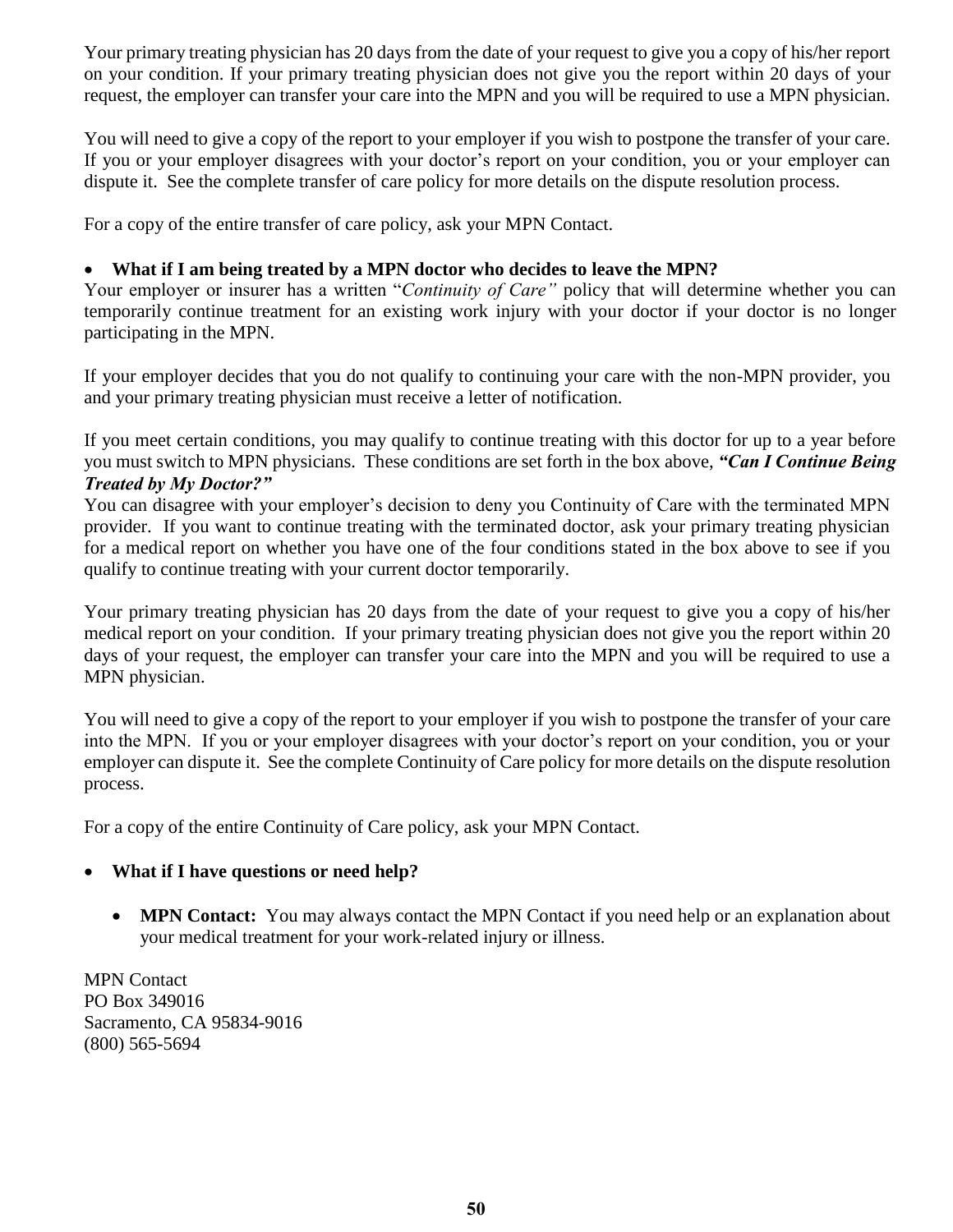Your primary treating physician has 20 days from the date of your request to give you a copy of his/her report on your condition. If your primary treating physician does not give you the report within 20 days of your request, the employer can transfer your care into the MPN and you will be required to use a MPN physician.

You will need to give a copy of the report to your employer if you wish to postpone the transfer of your care. If you or your employer disagrees with your doctor's report on your condition, you or your employer can dispute it. See the complete transfer of care policy for more details on the dispute resolution process.

For a copy of the entire transfer of care policy, ask your MPN Contact.

### **What if I am being treated by a MPN doctor who decides to leave the MPN?**

Your employer or insurer has a written "*Continuity of Care"* policy that will determine whether you can temporarily continue treatment for an existing work injury with your doctor if your doctor is no longer participating in the MPN.

If your employer decides that you do not qualify to continuing your care with the non-MPN provider, you and your primary treating physician must receive a letter of notification.

If you meet certain conditions, you may qualify to continue treating with this doctor for up to a year before you must switch to MPN physicians. These conditions are set forth in the box above, *"Can I Continue Being Treated by My Doctor?"* 

You can disagree with your employer's decision to deny you Continuity of Care with the terminated MPN provider. If you want to continue treating with the terminated doctor, ask your primary treating physician for a medical report on whether you have one of the four conditions stated in the box above to see if you qualify to continue treating with your current doctor temporarily.

Your primary treating physician has 20 days from the date of your request to give you a copy of his/her medical report on your condition. If your primary treating physician does not give you the report within 20 days of your request, the employer can transfer your care into the MPN and you will be required to use a MPN physician.

You will need to give a copy of the report to your employer if you wish to postpone the transfer of your care into the MPN. If you or your employer disagrees with your doctor's report on your condition, you or your employer can dispute it. See the complete Continuity of Care policy for more details on the dispute resolution process.

For a copy of the entire Continuity of Care policy, ask your MPN Contact.

### **What if I have questions or need help?**

• **MPN Contact:** You may always contact the MPN Contact if you need help or an explanation about your medical treatment for your work-related injury or illness.

MPN Contact PO Box 349016 Sacramento, CA 95834-9016 (800) 565-5694